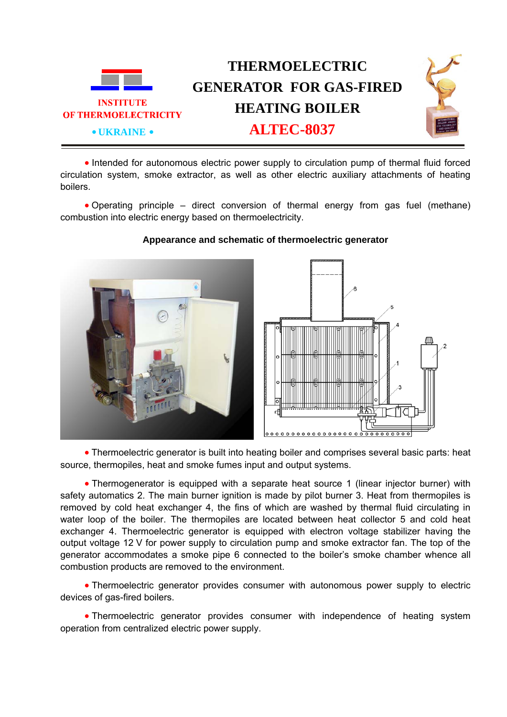

• Intended for autonomous electric power supply to circulation pump of thermal fluid forced circulation system, smoke extractor, as well as other electric auxiliary attachments of heating boilers.

• Operating principle – direct conversion of thermal energy from gas fuel (methane) combustion into electric energy based on thermoelectricity.



## **Appearance and schematic of thermoelectric generator**



• Thermoelectric generator is built into heating boiler and comprises several basic parts: heat source, thermopiles, heat and smoke fumes input and output systems.

• Thermogenerator is equipped with a separate heat source 1 (linear injector burner) with safety automatics 2. The main burner ignition is made by pilot burner 3. Heat from thermopiles is removed by cold heat exchanger 4, the fins of which are washed by thermal fluid circulating in water loop of the boiler. The thermopiles are located between heat collector 5 and cold heat exchanger 4. Thermoelectric generator is equipped with electron voltage stabilizer having the output voltage 12 V for power supply to circulation pump and smoke extractor fan. The top of the generator accommodates a smoke pipe 6 connected to the boiler's smoke chamber whence all combustion products are removed to the environment.

• Тhermoelectric generator provides consumer with autonomous power supply to electric devices of gas-fired boilers.

• Thermoelectric generator provides consumer with independence of heating system operation from centralized electric power supply.